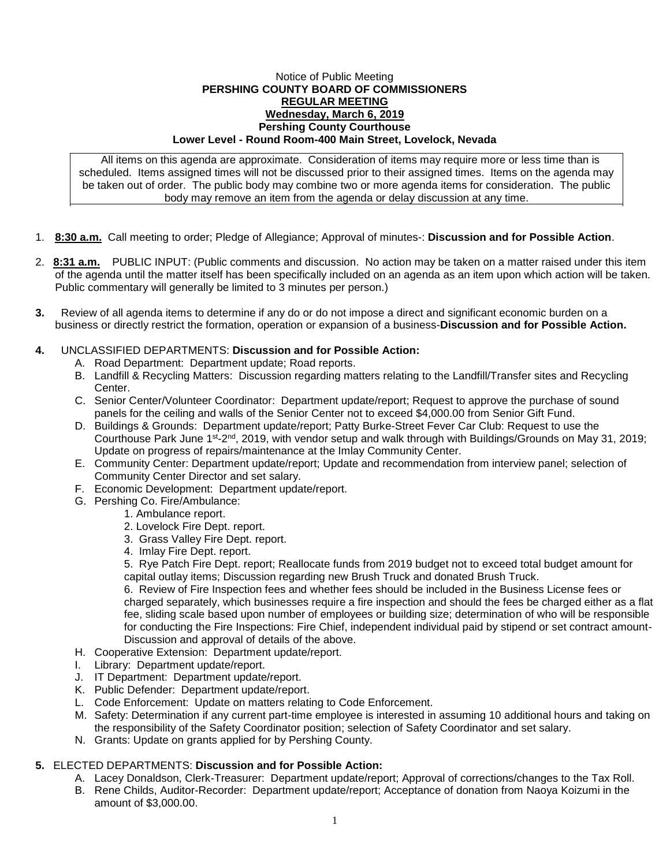## Notice of Public Meeting **PERSHING COUNTY BOARD OF COMMISSIONERS REGULAR MEETING Wednesday, March 6, 2019 Pershing County Courthouse Lower Level - Round Room-400 Main Street, Lovelock, Nevada**

All items on this agenda are approximate. Consideration of items may require more or less time than is scheduled. Items assigned times will not be discussed prior to their assigned times. Items on the agenda may be taken out of order. The public body may combine two or more agenda items for consideration. The public body may remove an item from the agenda or delay discussion at any time.

- 1. **8:30 a.m.** Call meeting to order; Pledge of Allegiance; Approval of minutes-: **Discussion and for Possible Action**.
- 2. **8:31 a.m.** PUBLIC INPUT: (Public comments and discussion. No action may be taken on a matter raised under this item of the agenda until the matter itself has been specifically included on an agenda as an item upon which action will be taken. Public commentary will generally be limited to 3 minutes per person.)
- **3.** Review of all agenda items to determine if any do or do not impose a direct and significant economic burden on a business or directly restrict the formation, operation or expansion of a business-**Discussion and for Possible Action.**

## **4.** UNCLASSIFIED DEPARTMENTS: **Discussion and for Possible Action:**

- A. Road Department: Department update; Road reports.
- B. Landfill & Recycling Matters: Discussion regarding matters relating to the Landfill/Transfer sites and Recycling Center.
- C. Senior Center/Volunteer Coordinator: Department update/report; Request to approve the purchase of sound panels for the ceiling and walls of the Senior Center not to exceed \$4,000.00 from Senior Gift Fund.
- D. Buildings & Grounds: Department update/report; Patty Burke-Street Fever Car Club: Request to use the Courthouse Park June 1<sup>st</sup>-2<sup>nd</sup>, 2019, with vendor setup and walk through with Buildings/Grounds on May 31, 2019; Update on progress of repairs/maintenance at the Imlay Community Center.
- E. Community Center: Department update/report; Update and recommendation from interview panel; selection of Community Center Director and set salary.
- F. Economic Development: Department update/report.
- G. Pershing Co. Fire/Ambulance:
	- 1. Ambulance report.
		- 2. Lovelock Fire Dept. report.
		- 3. Grass Valley Fire Dept. report.
		- 4. Imlay Fire Dept. report.

5. Rye Patch Fire Dept. report; Reallocate funds from 2019 budget not to exceed total budget amount for capital outlay items; Discussion regarding new Brush Truck and donated Brush Truck.

6. Review of Fire Inspection fees and whether fees should be included in the Business License fees or charged separately, which businesses require a fire inspection and should the fees be charged either as a flat fee, sliding scale based upon number of employees or building size; determination of who will be responsible for conducting the Fire Inspections: Fire Chief, independent individual paid by stipend or set contract amount-Discussion and approval of details of the above.

- H. Cooperative Extension: Department update/report.
- I. Library: Department update/report.
- J. IT Department: Department update/report.
- K. Public Defender: Department update/report.
- L. Code Enforcement: Update on matters relating to Code Enforcement.
- M. Safety: Determination if any current part-time employee is interested in assuming 10 additional hours and taking on the responsibility of the Safety Coordinator position; selection of Safety Coordinator and set salary.
- N. Grants: Update on grants applied for by Pershing County.

## **5.** ELECTED DEPARTMENTS: **Discussion and for Possible Action:**

- A. Lacey Donaldson, Clerk-Treasurer: Department update/report; Approval of corrections/changes to the Tax Roll.
- B. Rene Childs, Auditor-Recorder: Department update/report; Acceptance of donation from Naoya Koizumi in the amount of \$3,000.00.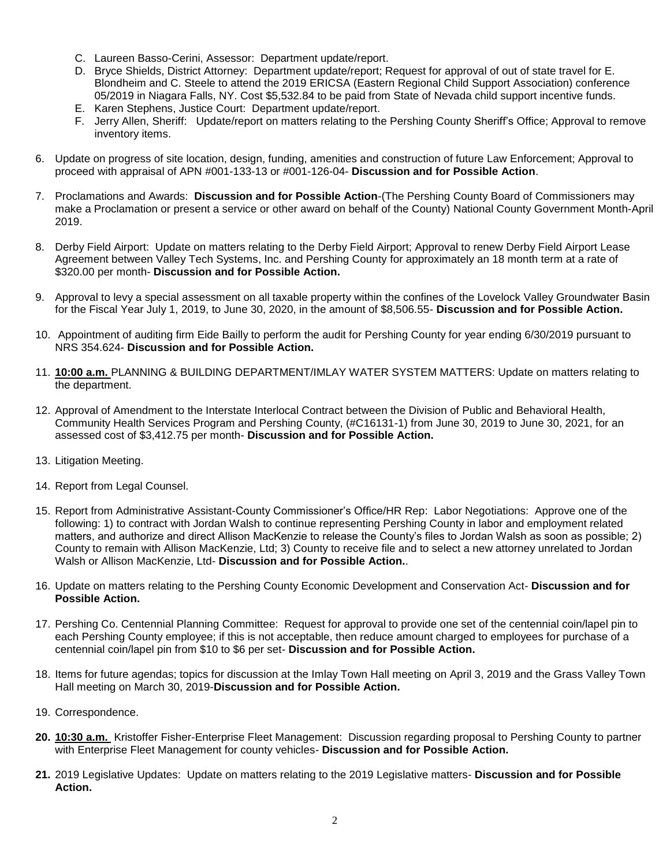- C. Laureen Basso-Cerini, Assessor: Department update/report.
- D. Bryce Shields, District Attorney: Department update/report; Request for approval of out of state travel for E. Blondheim and C. Steele to attend the 2019 ERICSA (Eastern Regional Child Support Association) conference 05/2019 in Niagara Falls, NY. Cost \$5,532.84 to be paid from State of Nevada child support incentive funds.
- E. Karen Stephens, Justice Court: Department update/report.
- F. Jerry Allen, Sheriff: Update/report on matters relating to the Pershing County Sheriff's Office; Approval to remove inventory items.
- 6. Update on progress of site location, design, funding, amenities and construction of future Law Enforcement; Approval to proceed with appraisal of APN #001-133-13 or #001-126-04- **Discussion and for Possible Action**.
- 7. Proclamations and Awards: **Discussion and for Possible Action**-(The Pershing County Board of Commissioners may make a Proclamation or present a service or other award on behalf of the County) National County Government Month-April 2019.
- 8. Derby Field Airport: Update on matters relating to the Derby Field Airport; Approval to renew Derby Field Airport Lease Agreement between Valley Tech Systems, Inc. and Pershing County for approximately an 18 month term at a rate of \$320.00 per month- **Discussion and for Possible Action.**
- 9. Approval to levy a special assessment on all taxable property within the confines of the Lovelock Valley Groundwater Basin for the Fiscal Year July 1, 2019, to June 30, 2020, in the amount of \$8,506.55- **Discussion and for Possible Action.**
- 10. Appointment of auditing firm Eide Bailly to perform the audit for Pershing County for year ending 6/30/2019 pursuant to NRS 354.624- **Discussion and for Possible Action.**
- 11. **10:00 a.m.** PLANNING & BUILDING DEPARTMENT/IMLAY WATER SYSTEM MATTERS: Update on matters relating to the department.
- 12. Approval of Amendment to the Interstate Interlocal Contract between the Division of Public and Behavioral Health, Community Health Services Program and Pershing County, (#C16131-1) from June 30, 2019 to June 30, 2021, for an assessed cost of \$3,412.75 per month- **Discussion and for Possible Action.**
- 13. Litigation Meeting.
- 14. Report from Legal Counsel.
- 15. Report from Administrative Assistant-County Commissioner's Office/HR Rep: Labor Negotiations: Approve one of the following: 1) to contract with Jordan Walsh to continue representing Pershing County in labor and employment related matters, and authorize and direct Allison MacKenzie to release the County's files to Jordan Walsh as soon as possible; 2) County to remain with Allison MacKenzie, Ltd; 3) County to receive file and to select a new attorney unrelated to Jordan Walsh or Allison MacKenzie, Ltd- **Discussion and for Possible Action.**.
- 16. Update on matters relating to the Pershing County Economic Development and Conservation Act- **Discussion and for Possible Action.**
- 17. Pershing Co. Centennial Planning Committee: Request for approval to provide one set of the centennial coin/lapel pin to each Pershing County employee; if this is not acceptable, then reduce amount charged to employees for purchase of a centennial coin/lapel pin from \$10 to \$6 per set- **Discussion and for Possible Action.**
- 18. Items for future agendas; topics for discussion at the Imlay Town Hall meeting on April 3, 2019 and the Grass Valley Town Hall meeting on March 30, 2019-**Discussion and for Possible Action.**
- 19. Correspondence.
- **20. 10:30 a.m.** Kristoffer Fisher-Enterprise Fleet Management: Discussion regarding proposal to Pershing County to partner with Enterprise Fleet Management for county vehicles- **Discussion and for Possible Action.**
- **21.** 2019 Legislative Updates:Update on matters relating to the 2019 Legislative matters- **Discussion and for Possible Action.**